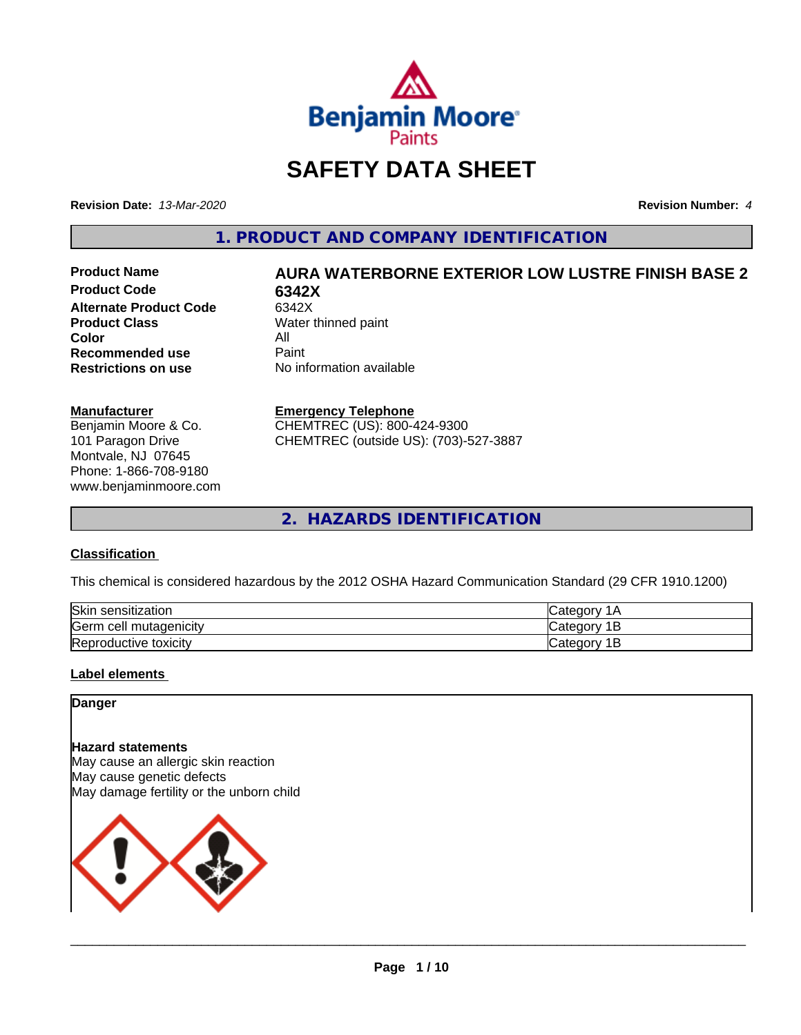

# **SAFETY DATA SHEET**

**Revision Date:** *13-Mar-2020* **Revision Number:** *4*

**1. PRODUCT AND COMPANY IDENTIFICATION**

**Product Code 6342X Alternate Product Code** 6342X<br> **Product Class** Water t **Color** All<br> **Recommended use** Paint **Recommended use**<br>Restrictions on use

# **Product Name AURA WATERBORNE EXTERIOR LOW LUSTRE FINISH BASE 2**

**Water thinned paint No information available** 

#### **Manufacturer**

Benjamin Moore & Co. 101 Paragon Drive Montvale, NJ 07645 Phone: 1-866-708-9180 www.benjaminmoore.com

#### **Emergency Telephone**

CHEMTREC (US): 800-424-9300 CHEMTREC (outside US): (703)-527-3887

**2. HAZARDS IDENTIFICATION**

#### **Classification**

This chemical is considered hazardous by the 2012 OSHA Hazard Communication Standard (29 CFR 1910.1200)

| Skir<br>sensitization    | 10               |
|--------------------------|------------------|
| Germ cell mutagenicity   | ∴atenor: .<br>ــ |
| Reproductive<br>toxicity | 10<br>-          |

#### **Label elements**

#### **Danger**

#### **Hazard statements**

May cause an allergic skin reaction May cause genetic defects May damage fertility or the unborn child

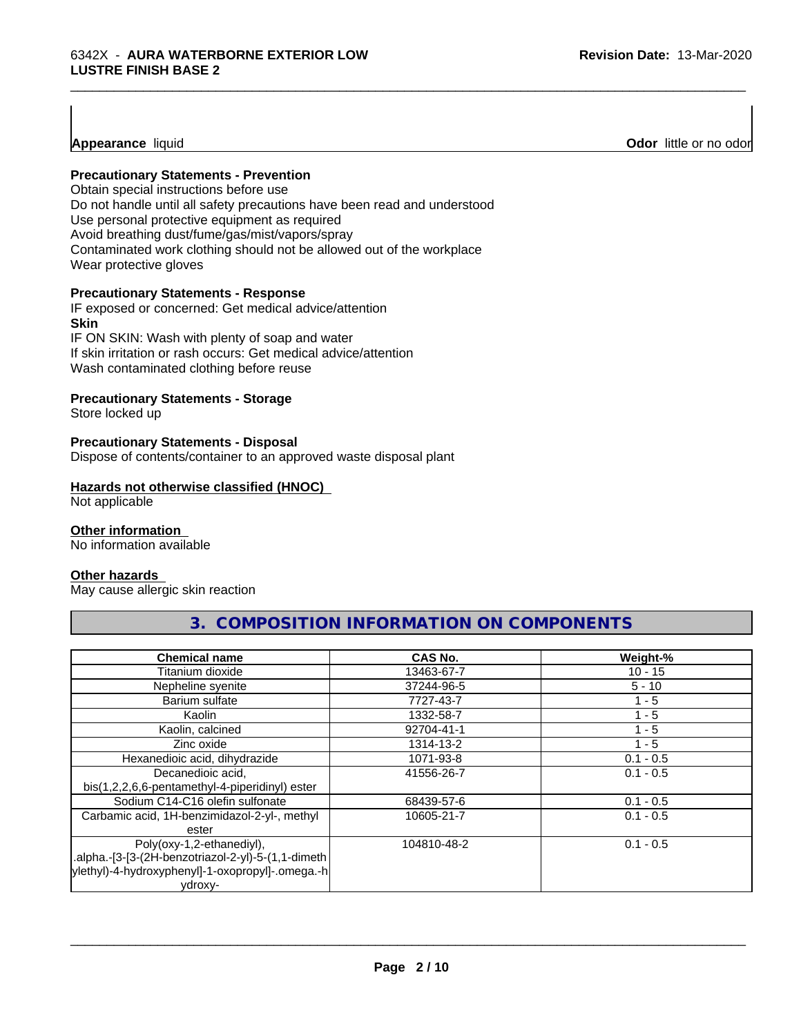#### **Precautionary Statements - Prevention**

Obtain special instructions before use Do not handle until all safety precautions have been read and understood Use personal protective equipment as required Avoid breathing dust/fume/gas/mist/vapors/spray Contaminated work clothing should not be allowed out of the workplace Wear protective gloves

#### **Precautionary Statements - Response**

IF exposed or concerned: Get medical advice/attention **Skin** IF ON SKIN: Wash with plenty of soap and water

If skin irritation or rash occurs: Get medical advice/attention Wash contaminated clothing before reuse

#### **Precautionary Statements - Storage**

Store locked up

#### **Precautionary Statements - Disposal**

Dispose of contents/container to an approved waste disposal plant

#### **Hazards not otherwise classified (HNOC)**

Not applicable

#### **Other information**

No information available

#### **Other hazards**

May cause allergic skin reaction

# **Chemical name CAS No. Weight-%**

**3. COMPOSITION INFORMATION ON COMPONENTS**

\_\_\_\_\_\_\_\_\_\_\_\_\_\_\_\_\_\_\_\_\_\_\_\_\_\_\_\_\_\_\_\_\_\_\_\_\_\_\_\_\_\_\_\_\_\_\_\_\_\_\_\_\_\_\_\_\_\_\_\_\_\_\_\_\_\_\_\_\_\_\_\_\_\_\_\_\_\_\_\_\_\_\_\_\_\_\_\_\_\_\_\_\_

| סווסוווטמו וומוווס                                 | ישרי ש      | 1151        |
|----------------------------------------------------|-------------|-------------|
| Titanium dioxide                                   | 13463-67-7  | $10 - 15$   |
| Nepheline syenite                                  | 37244-96-5  | $5 - 10$    |
| Barium sulfate                                     | 7727-43-7   | $1 - 5$     |
| Kaolin                                             | 1332-58-7   | $1 - 5$     |
| Kaolin, calcined                                   | 92704-41-1  | $1 - 5$     |
| Zinc oxide                                         | 1314-13-2   | $1 - 5$     |
| Hexanedioic acid, dihydrazide                      | 1071-93-8   | $0.1 - 0.5$ |
| Decanedioic acid,                                  | 41556-26-7  | $0.1 - 0.5$ |
| bis(1,2,2,6,6-pentamethyl-4-piperidinyl) ester     |             |             |
| Sodium C14-C16 olefin sulfonate                    | 68439-57-6  | $0.1 - 0.5$ |
| Carbamic acid, 1H-benzimidazol-2-yl-, methyl       | 10605-21-7  | $0.1 - 0.5$ |
| ester                                              |             |             |
| Poly(oxy-1,2-ethanediyl),                          | 104810-48-2 | $0.1 - 0.5$ |
| alpha.-[3-[3-(2H-benzotriazol-2-yl)-5-(1,1-dimeth. |             |             |
| ylethyl)-4-hydroxyphenyl]-1-oxopropyl]-.omega.-h   |             |             |
| ydroxy-                                            |             |             |

 $\overline{\phantom{a}}$  ,  $\overline{\phantom{a}}$  ,  $\overline{\phantom{a}}$  ,  $\overline{\phantom{a}}$  ,  $\overline{\phantom{a}}$  ,  $\overline{\phantom{a}}$  ,  $\overline{\phantom{a}}$  ,  $\overline{\phantom{a}}$  ,  $\overline{\phantom{a}}$  ,  $\overline{\phantom{a}}$  ,  $\overline{\phantom{a}}$  ,  $\overline{\phantom{a}}$  ,  $\overline{\phantom{a}}$  ,  $\overline{\phantom{a}}$  ,  $\overline{\phantom{a}}$  ,  $\overline{\phantom{a}}$ 

**Appearance** liquid **Odor**  little or no odor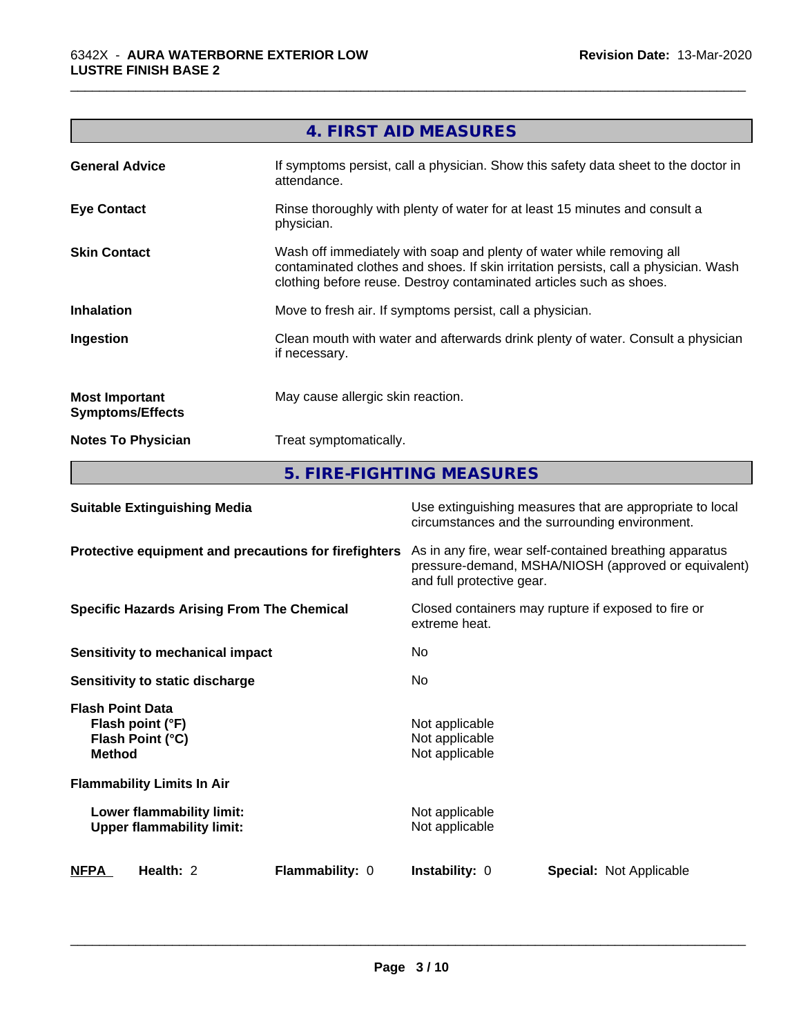|                                                  | 4. FIRST AID MEASURES                                                                                                                                                                                                               |
|--------------------------------------------------|-------------------------------------------------------------------------------------------------------------------------------------------------------------------------------------------------------------------------------------|
| <b>General Advice</b>                            | If symptoms persist, call a physician. Show this safety data sheet to the doctor in<br>attendance.                                                                                                                                  |
| <b>Eye Contact</b>                               | Rinse thoroughly with plenty of water for at least 15 minutes and consult a<br>physician.                                                                                                                                           |
| <b>Skin Contact</b>                              | Wash off immediately with soap and plenty of water while removing all<br>contaminated clothes and shoes. If skin irritation persists, call a physician. Wash<br>clothing before reuse. Destroy contaminated articles such as shoes. |
| <b>Inhalation</b>                                | Move to fresh air. If symptoms persist, call a physician.                                                                                                                                                                           |
| Ingestion                                        | Clean mouth with water and afterwards drink plenty of water. Consult a physician<br>if necessary.                                                                                                                                   |
| <b>Most Important</b><br><b>Symptoms/Effects</b> | May cause allergic skin reaction.                                                                                                                                                                                                   |
| <b>Notes To Physician</b>                        | Treat symptomatically.                                                                                                                                                                                                              |

\_\_\_\_\_\_\_\_\_\_\_\_\_\_\_\_\_\_\_\_\_\_\_\_\_\_\_\_\_\_\_\_\_\_\_\_\_\_\_\_\_\_\_\_\_\_\_\_\_\_\_\_\_\_\_\_\_\_\_\_\_\_\_\_\_\_\_\_\_\_\_\_\_\_\_\_\_\_\_\_\_\_\_\_\_\_\_\_\_\_\_\_\_

**5. FIRE-FIGHTING MEASURES**

| <b>NFPA</b>                              | Health: 2                                                     | Flammability: 0 | <b>Instability: 0</b>                                                                                                                        | <b>Special: Not Applicable</b> |  |
|------------------------------------------|---------------------------------------------------------------|-----------------|----------------------------------------------------------------------------------------------------------------------------------------------|--------------------------------|--|
|                                          | Lower flammability limit:<br><b>Upper flammability limit:</b> |                 | Not applicable<br>Not applicable                                                                                                             |                                |  |
|                                          | <b>Flammability Limits In Air</b>                             |                 |                                                                                                                                              |                                |  |
| <b>Flash Point Data</b><br><b>Method</b> | Flash point (°F)<br>Flash Point (°C)                          |                 | Not applicable<br>Not applicable<br>Not applicable                                                                                           |                                |  |
|                                          | Sensitivity to static discharge                               |                 | No                                                                                                                                           |                                |  |
|                                          | Sensitivity to mechanical impact                              |                 | No                                                                                                                                           |                                |  |
|                                          | <b>Specific Hazards Arising From The Chemical</b>             |                 | Closed containers may rupture if exposed to fire or<br>extreme heat.                                                                         |                                |  |
|                                          | Protective equipment and precautions for firefighters         |                 | As in any fire, wear self-contained breathing apparatus<br>pressure-demand, MSHA/NIOSH (approved or equivalent)<br>and full protective gear. |                                |  |
|                                          | <b>Suitable Extinguishing Media</b>                           |                 | Use extinguishing measures that are appropriate to local<br>circumstances and the surrounding environment.                                   |                                |  |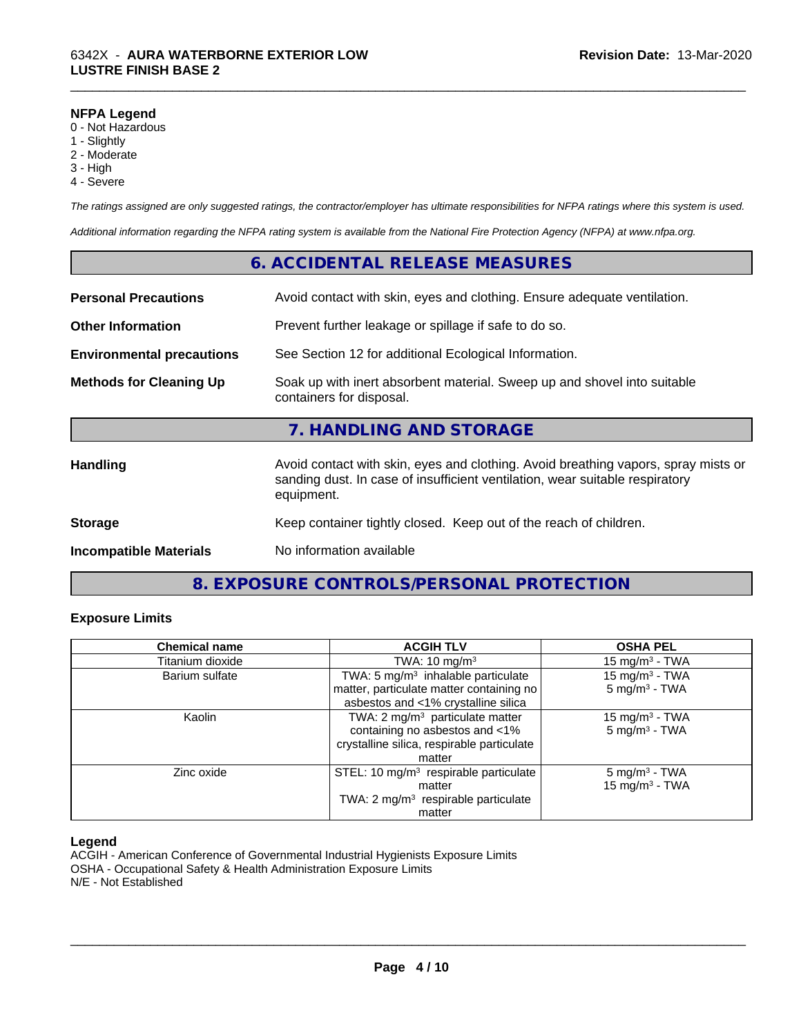#### **NFPA Legend**

- 0 Not Hazardous
- 1 Slightly
- 2 Moderate
- 3 High
- 4 Severe

*The ratings assigned are only suggested ratings, the contractor/employer has ultimate responsibilities for NFPA ratings where this system is used.*

\_\_\_\_\_\_\_\_\_\_\_\_\_\_\_\_\_\_\_\_\_\_\_\_\_\_\_\_\_\_\_\_\_\_\_\_\_\_\_\_\_\_\_\_\_\_\_\_\_\_\_\_\_\_\_\_\_\_\_\_\_\_\_\_\_\_\_\_\_\_\_\_\_\_\_\_\_\_\_\_\_\_\_\_\_\_\_\_\_\_\_\_\_

*Additional information regarding the NFPA rating system is available from the National Fire Protection Agency (NFPA) at www.nfpa.org.*

#### **6. ACCIDENTAL RELEASE MEASURES**

| <b>Personal Precautions</b>      | Avoid contact with skin, eyes and clothing. Ensure adequate ventilation.                                                                                                         |
|----------------------------------|----------------------------------------------------------------------------------------------------------------------------------------------------------------------------------|
| <b>Other Information</b>         | Prevent further leakage or spillage if safe to do so.                                                                                                                            |
| <b>Environmental precautions</b> | See Section 12 for additional Ecological Information.                                                                                                                            |
| <b>Methods for Cleaning Up</b>   | Soak up with inert absorbent material. Sweep up and shovel into suitable<br>containers for disposal.                                                                             |
|                                  | 7. HANDLING AND STORAGE                                                                                                                                                          |
| <b>Handling</b>                  | Avoid contact with skin, eyes and clothing. Avoid breathing vapors, spray mists or<br>sanding dust. In case of insufficient ventilation, wear suitable respiratory<br>equipment. |
| <b>Storage</b>                   | Keep container tightly closed. Keep out of the reach of children.                                                                                                                |
| <b>Incompatible Materials</b>    | No information available                                                                                                                                                         |

## **8. EXPOSURE CONTROLS/PERSONAL PROTECTION**

#### **Exposure Limits**

| <b>Chemical name</b> | <b>ACGIH TLV</b>                                                                                                                      | <b>OSHA PEL</b>                                        |
|----------------------|---------------------------------------------------------------------------------------------------------------------------------------|--------------------------------------------------------|
| Titanium dioxide     | TWA: $10 \text{ mg/m}^3$                                                                                                              | $15 \text{ mg/m}^3$ - TWA                              |
| Barium sulfate       | TWA: 5 mg/m <sup>3</sup> inhalable particulate<br>matter, particulate matter containing no<br>asbestos and <1% crystalline silica     | 15 mg/m <sup>3</sup> - TWA<br>$5 \text{ mg/m}^3$ - TWA |
| Kaolin               | TWA: 2 mg/m <sup>3</sup> particulate matter<br>containing no asbestos and <1%<br>crystalline silica, respirable particulate<br>matter | 15 mg/m $3$ - TWA<br>$5 \text{ mg/m}^3$ - TWA          |
| Zinc oxide           | STEL: 10 mg/m <sup>3</sup> respirable particulate<br>matter<br>TWA: $2 \text{ mg/m}^3$ respirable particulate<br>matter               | $5 \text{ mg/m}^3$ - TWA<br>15 mg/m $3$ - TWA          |

#### **Legend**

ACGIH - American Conference of Governmental Industrial Hygienists Exposure Limits OSHA - Occupational Safety & Health Administration Exposure Limits N/E - Not Established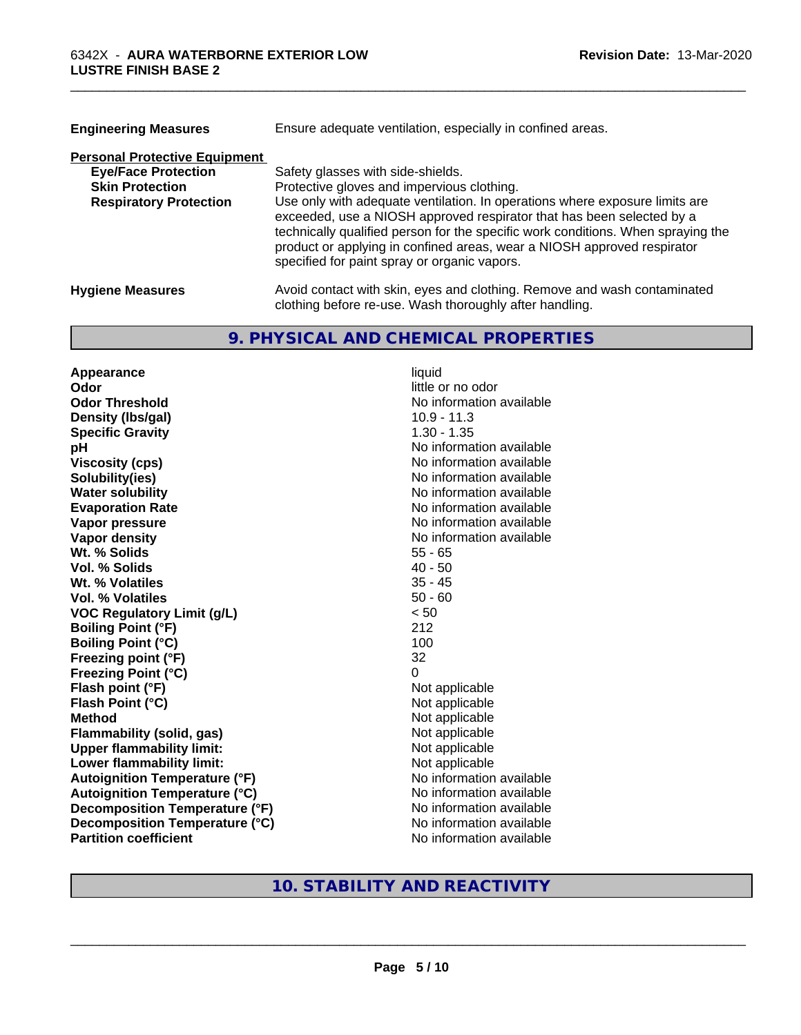| <b>Engineering Measures</b>          | Ensure adequate ventilation, especially in confined areas.                                                                                                                                                                                                                                                                                                          |
|--------------------------------------|---------------------------------------------------------------------------------------------------------------------------------------------------------------------------------------------------------------------------------------------------------------------------------------------------------------------------------------------------------------------|
| <b>Personal Protective Equipment</b> |                                                                                                                                                                                                                                                                                                                                                                     |
| <b>Eye/Face Protection</b>           | Safety glasses with side-shields.                                                                                                                                                                                                                                                                                                                                   |
| <b>Skin Protection</b>               | Protective gloves and impervious clothing.                                                                                                                                                                                                                                                                                                                          |
| <b>Respiratory Protection</b>        | Use only with adequate ventilation. In operations where exposure limits are<br>exceeded, use a NIOSH approved respirator that has been selected by a<br>technically qualified person for the specific work conditions. When spraying the<br>product or applying in confined areas, wear a NIOSH approved respirator<br>specified for paint spray or organic vapors. |
| <b>Hygiene Measures</b>              | Avoid contact with skin, eyes and clothing. Remove and wash contaminated<br>clothing before re-use. Wash thoroughly after handling.                                                                                                                                                                                                                                 |

\_\_\_\_\_\_\_\_\_\_\_\_\_\_\_\_\_\_\_\_\_\_\_\_\_\_\_\_\_\_\_\_\_\_\_\_\_\_\_\_\_\_\_\_\_\_\_\_\_\_\_\_\_\_\_\_\_\_\_\_\_\_\_\_\_\_\_\_\_\_\_\_\_\_\_\_\_\_\_\_\_\_\_\_\_\_\_\_\_\_\_\_\_

#### **9. PHYSICAL AND CHEMICAL PROPERTIES**

**Appearance** liquid **Odor**<br> **Odor Threshold**<br> **Odor Threshold CODOR CODOR CODOR CODOR CODOR CODOR CODOR CODOR CODOR CODOR CODOR Density (Ibs/gal)** 10.9 - 11.3 **Specific Gravity** 1.30 - 1.35 **pH** No information available **Viscosity (cps)** No information available **Solubility(ies)** No information available **Water solubility** No information available **Evaporation Rate No information available No information available Vapor pressure** No information available **Vapor density No information available No information available Wt. % Solids** 55 - 65<br> **Vol. % Solids** 40 - 50 **Vol. % Solids Wt. % Volatiles** 35 - 45 **Vol. % Volatiles** 50 - 60 **VOC Regulatory Limit (g/L)** < 50 **Boiling Point (°F)** 212 **Boiling Point (°C)** 100 **Freezing point (°F)** 32 **Freezing Point (°C)** 0 **Flash point (°F)** Not applicable **Flash Point (°C)** Not applicable **Method**<br> **Flammability (solid, gas)**<br> **Commability (solid, gas)**<br> **Not** applicable **Flammability (solid, gas)**<br> **Upper flammability limit:**<br>
Upper flammability limit:<br>  $\begin{array}{ccc}\n\bullet & \bullet & \bullet \\
\bullet & \bullet & \bullet\n\end{array}$  Not applicable **Upper flammability limit: Lower flammability limit:**<br> **Autoignition Temperature (°F)** Not applicable havailable available **Autoignition Temperature (°F)**<br> **Autoignition Temperature (°C)** No information available **Autoignition Temperature (°C) Decomposition Temperature (°F)** No information available **Decomposition Temperature (°C)** No information available **Partition coefficient** No information available

**No information available** 

#### **10. STABILITY AND REACTIVITY**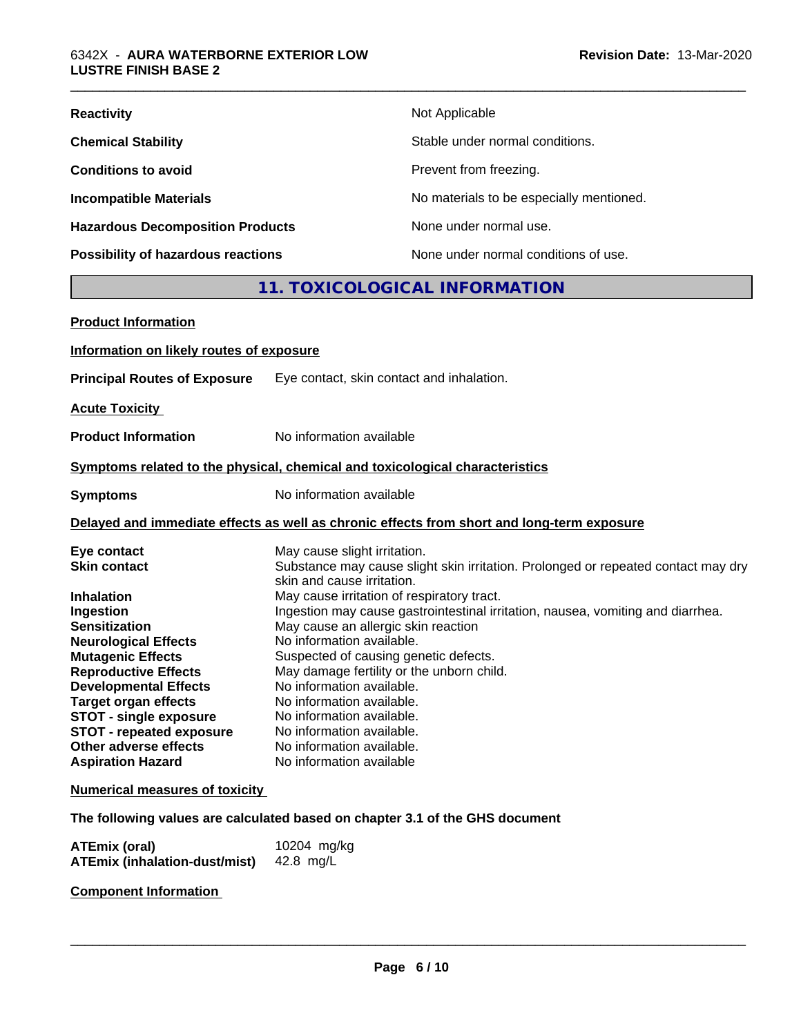| <b>Reactivity</b>                       | Not Applicable                           |
|-----------------------------------------|------------------------------------------|
| <b>Chemical Stability</b>               | Stable under normal conditions.          |
| <b>Conditions to avoid</b>              | Prevent from freezing.                   |
| <b>Incompatible Materials</b>           | No materials to be especially mentioned. |
| <b>Hazardous Decomposition Products</b> | None under normal use.                   |
| Possibility of hazardous reactions      | None under normal conditions of use.     |

### **11. TOXICOLOGICAL INFORMATION**

| <b>Product Information</b>                               |                                                                                                                 |
|----------------------------------------------------------|-----------------------------------------------------------------------------------------------------------------|
| Information on likely routes of exposure                 |                                                                                                                 |
| <b>Principal Routes of Exposure</b>                      | Eye contact, skin contact and inhalation.                                                                       |
| <b>Acute Toxicity</b>                                    |                                                                                                                 |
| <b>Product Information</b>                               | No information available                                                                                        |
|                                                          | Symptoms related to the physical, chemical and toxicological characteristics                                    |
| <b>Symptoms</b>                                          | No information available                                                                                        |
|                                                          | Delayed and immediate effects as well as chronic effects from short and long-term exposure                      |
| Eye contact                                              | May cause slight irritation.                                                                                    |
| <b>Skin contact</b>                                      | Substance may cause slight skin irritation. Prolonged or repeated contact may dry<br>skin and cause irritation. |
| <b>Inhalation</b>                                        | May cause irritation of respiratory tract.                                                                      |
| Ingestion                                                | Ingestion may cause gastrointestinal irritation, nausea, vomiting and diarrhea.                                 |
| <b>Sensitization</b>                                     | May cause an allergic skin reaction                                                                             |
| <b>Neurological Effects</b>                              | No information available.                                                                                       |
| <b>Mutagenic Effects</b>                                 | Suspected of causing genetic defects.                                                                           |
| <b>Reproductive Effects</b>                              | May damage fertility or the unborn child.                                                                       |
| <b>Developmental Effects</b>                             | No information available.                                                                                       |
| <b>Target organ effects</b>                              | No information available.                                                                                       |
| <b>STOT - single exposure</b>                            | No information available.                                                                                       |
| <b>STOT - repeated exposure</b><br>Other adverse effects | No information available.<br>No information available.                                                          |
|                                                          | No information available                                                                                        |
| <b>Aspiration Hazard</b>                                 |                                                                                                                 |
| <b>Numerical measures of toxicity</b>                    |                                                                                                                 |
|                                                          | The following values are calculated based on chapter 3.1 of the GHS document                                    |
|                                                          |                                                                                                                 |

| <b>ATEmix (oral)</b>                 | 10204 mg/kg |
|--------------------------------------|-------------|
| <b>ATEmix (inhalation-dust/mist)</b> | 42.8 mg/L   |

**Component Information**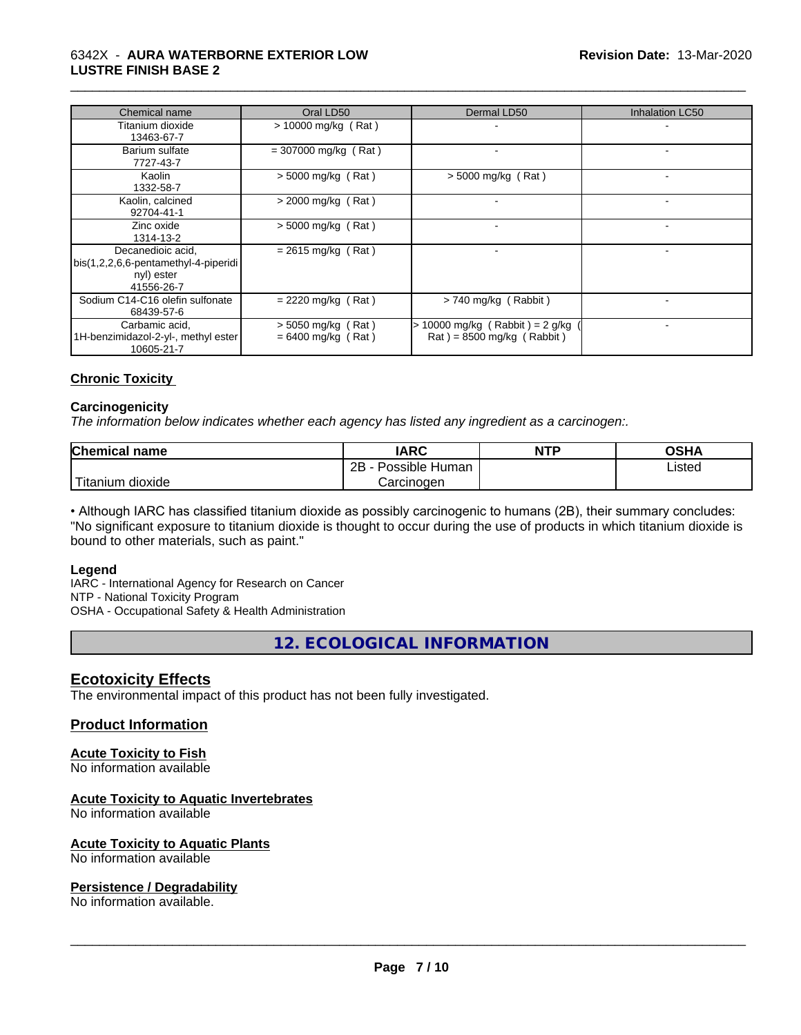#### 6342X - **AURA WATERBORNE EXTERIOR LOW LUSTRE FINISH BASE 2**

| Chemical name                                                                         | Oral LD50                                  | Dermal LD50                                                                        | <b>Inhalation LC50</b> |
|---------------------------------------------------------------------------------------|--------------------------------------------|------------------------------------------------------------------------------------|------------------------|
| Titanium dioxide<br>13463-67-7                                                        | $> 10000$ mg/kg (Rat)                      |                                                                                    |                        |
| Barium sulfate<br>7727-43-7                                                           | $= 307000$ mg/kg (Rat)                     |                                                                                    |                        |
| Kaolin<br>1332-58-7                                                                   | $>$ 5000 mg/kg (Rat)                       | $> 5000$ mg/kg (Rat)                                                               |                        |
| Kaolin, calcined<br>92704-41-1                                                        | $>$ 2000 mg/kg (Rat)                       |                                                                                    |                        |
| Zinc oxide<br>1314-13-2                                                               | $>$ 5000 mg/kg (Rat)                       | $\overline{\phantom{0}}$                                                           |                        |
| Decanedioic acid,<br>bis(1,2,2,6,6-pentamethyl-4-piperidi<br>nyl) ester<br>41556-26-7 | $= 2615$ mg/kg (Rat)                       |                                                                                    |                        |
| Sodium C14-C16 olefin sulfonate<br>68439-57-6                                         | $= 2220$ mg/kg (Rat)                       | > 740 mg/kg (Rabbit)                                                               |                        |
| Carbamic acid,<br>1H-benzimidazol-2-yl-, methyl ester<br>10605-21-7                   | > 5050 mg/kg (Rat)<br>$= 6400$ mg/kg (Rat) | 10000 mg/kg $(Rabbit) = 2 g/kg$<br>$\text{Rat}$ ) = 8500 mg/kg ( $\text{Rabbit}$ ) |                        |

\_\_\_\_\_\_\_\_\_\_\_\_\_\_\_\_\_\_\_\_\_\_\_\_\_\_\_\_\_\_\_\_\_\_\_\_\_\_\_\_\_\_\_\_\_\_\_\_\_\_\_\_\_\_\_\_\_\_\_\_\_\_\_\_\_\_\_\_\_\_\_\_\_\_\_\_\_\_\_\_\_\_\_\_\_\_\_\_\_\_\_\_\_

#### **Chronic Toxicity**

#### **Carcinogenicity**

*The information below indicateswhether each agency has listed any ingredient as a carcinogen:.*

| Chemical<br>name       | <b>IARC</b>                      | <b>NTP</b> | <b>OSHA</b> |
|------------------------|----------------------------------|------------|-------------|
|                        | . .<br>2B<br>Possible L<br>Human |            | Listed<br>. |
| 'Titanium<br>n dioxide | Carcınoɑen                       |            |             |

• Although IARC has classified titanium dioxide as possibly carcinogenic to humans (2B), their summary concludes: "No significant exposure to titanium dioxide is thought to occur during the use of products in which titanium dioxide is bound to other materials, such as paint."

#### **Legend**

IARC - International Agency for Research on Cancer NTP - National Toxicity Program OSHA - Occupational Safety & Health Administration

**12. ECOLOGICAL INFORMATION**

#### **Ecotoxicity Effects**

The environmental impact of this product has not been fully investigated.

#### **Product Information**

#### **Acute Toxicity to Fish**

No information available

#### **Acute Toxicity to Aquatic Invertebrates**

No information available

#### **Acute Toxicity to Aquatic Plants**

No information available

#### **Persistence / Degradability**

No information available.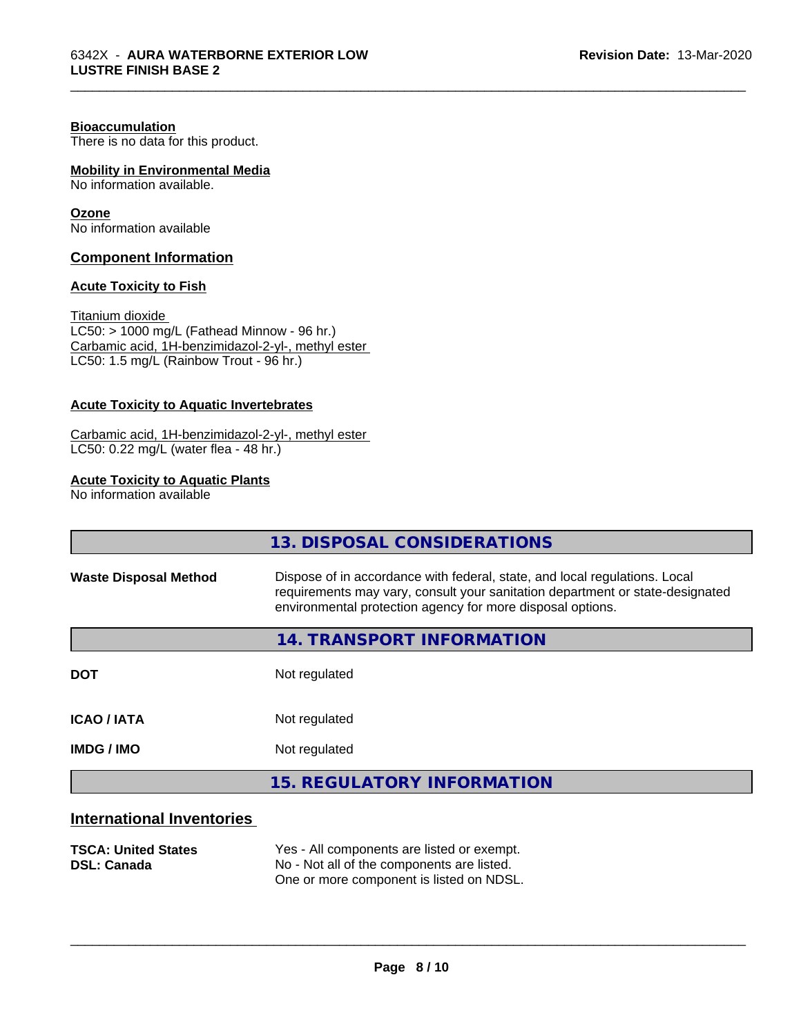#### **Bioaccumulation**

There is no data for this product.

#### **Mobility in Environmental Media**

No information available.

#### **Ozone**

No information available

#### **Component Information**

#### **Acute Toxicity to Fish**

Titanium dioxide  $LCS0: > 1000$  mg/L (Fathead Minnow - 96 hr.) Carbamic acid, 1H-benzimidazol-2-yl-, methyl ester LC50: 1.5 mg/L (Rainbow Trout - 96 hr.)

#### **Acute Toxicity to Aquatic Invertebrates**

#### Carbamic acid, 1H-benzimidazol-2-yl-, methyl ester LC50: 0.22 mg/L (water flea - 48 hr.)

#### **Acute Toxicity to Aquatic Plants**

No information available

|                                  | 13. DISPOSAL CONSIDERATIONS                                                                                                                                                                                               |  |
|----------------------------------|---------------------------------------------------------------------------------------------------------------------------------------------------------------------------------------------------------------------------|--|
| <b>Waste Disposal Method</b>     | Dispose of in accordance with federal, state, and local regulations. Local<br>requirements may vary, consult your sanitation department or state-designated<br>environmental protection agency for more disposal options. |  |
|                                  | 14. TRANSPORT INFORMATION                                                                                                                                                                                                 |  |
| <b>DOT</b>                       | Not regulated                                                                                                                                                                                                             |  |
| <b>ICAO / IATA</b>               | Not regulated                                                                                                                                                                                                             |  |
| <b>IMDG / IMO</b>                | Not regulated                                                                                                                                                                                                             |  |
|                                  | <b>15. REGULATORY INFORMATION</b>                                                                                                                                                                                         |  |
| <b>International Inventories</b> |                                                                                                                                                                                                                           |  |

\_\_\_\_\_\_\_\_\_\_\_\_\_\_\_\_\_\_\_\_\_\_\_\_\_\_\_\_\_\_\_\_\_\_\_\_\_\_\_\_\_\_\_\_\_\_\_\_\_\_\_\_\_\_\_\_\_\_\_\_\_\_\_\_\_\_\_\_\_\_\_\_\_\_\_\_\_\_\_\_\_\_\_\_\_\_\_\_\_\_\_\_\_

# **TSCA: United States** Yes - All components are listed or exempt.<br> **DSL: Canada** Wo - Not all of the components are listed. No - Not all of the components are listed.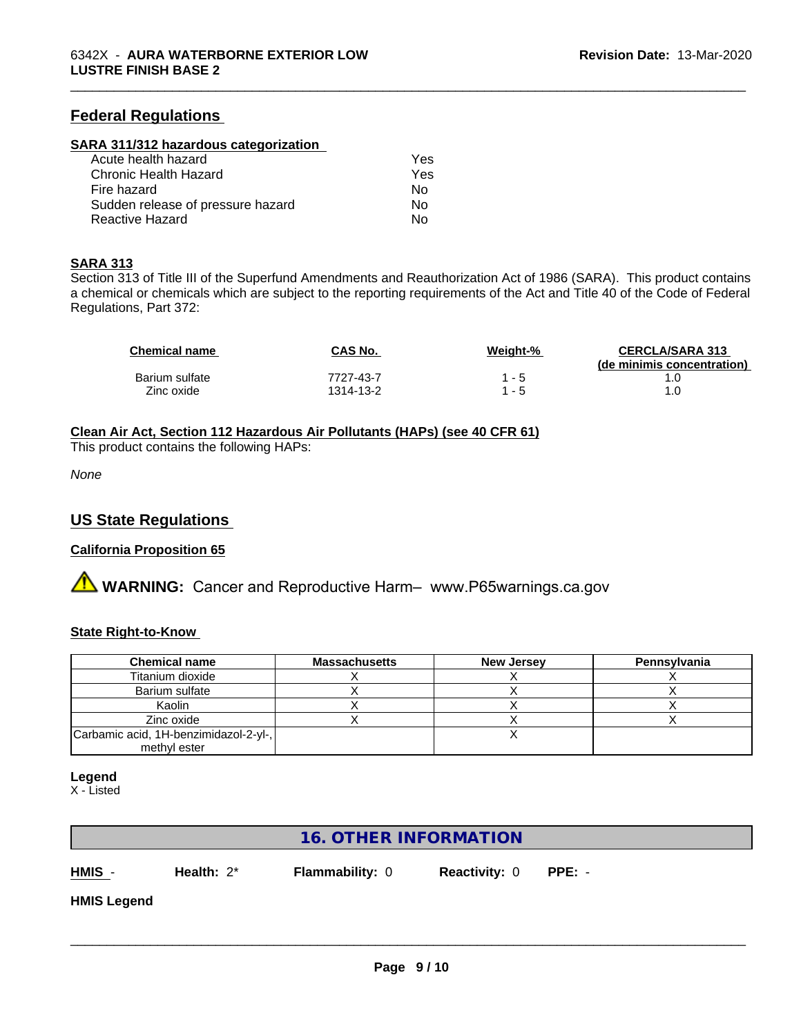#### **Federal Regulations**

#### **SARA 311/312 hazardous categorization**

| Acute health hazard               | Yes |  |
|-----------------------------------|-----|--|
| Chronic Health Hazard             | Yes |  |
| Fire hazard                       | N٥  |  |
| Sudden release of pressure hazard | N٥  |  |
| Reactive Hazard                   | Nο  |  |

#### **SARA 313**

Section 313 of Title III of the Superfund Amendments and Reauthorization Act of 1986 (SARA). This product contains a chemical or chemicals which are subject to the reporting requirements of the Act and Title 40 of the Code of Federal Regulations, Part 372:

| <b>Chemical name</b> | CAS No.   | Weight-% | <b>CERCLA/SARA 313</b><br>(de minimis concentration) |
|----------------------|-----------|----------|------------------------------------------------------|
| Barium sulfate       | 7727-43-7 | - 5      |                                                      |
| Zinc oxide           | 1314-13-2 | - 5      |                                                      |

\_\_\_\_\_\_\_\_\_\_\_\_\_\_\_\_\_\_\_\_\_\_\_\_\_\_\_\_\_\_\_\_\_\_\_\_\_\_\_\_\_\_\_\_\_\_\_\_\_\_\_\_\_\_\_\_\_\_\_\_\_\_\_\_\_\_\_\_\_\_\_\_\_\_\_\_\_\_\_\_\_\_\_\_\_\_\_\_\_\_\_\_\_

#### **Clean Air Act,Section 112 Hazardous Air Pollutants (HAPs) (see 40 CFR 61)**

This product contains the following HAPs:

*None*

#### **US State Regulations**

#### **California Proposition 65**

**A WARNING:** Cancer and Reproductive Harm– www.P65warnings.ca.gov

#### **State Right-to-Know**

| <b>Chemical name</b>                  | <b>Massachusetts</b> | <b>New Jersey</b> | Pennsylvania |
|---------------------------------------|----------------------|-------------------|--------------|
| Titanium dioxide                      |                      |                   |              |
| Barium sulfate                        |                      |                   |              |
| Kaolin                                |                      |                   |              |
| Zinc oxide                            |                      |                   |              |
| Carbamic acid, 1H-benzimidazol-2-yl-, |                      |                   |              |
| methyl ester                          |                      |                   |              |

#### **Legend**

X - Listed

# **16. OTHER INFORMATION HMIS** - **Health:** 2\* **Flammability:** 0 **Reactivity:** 0 **PPE:** - **HMIS Legend**